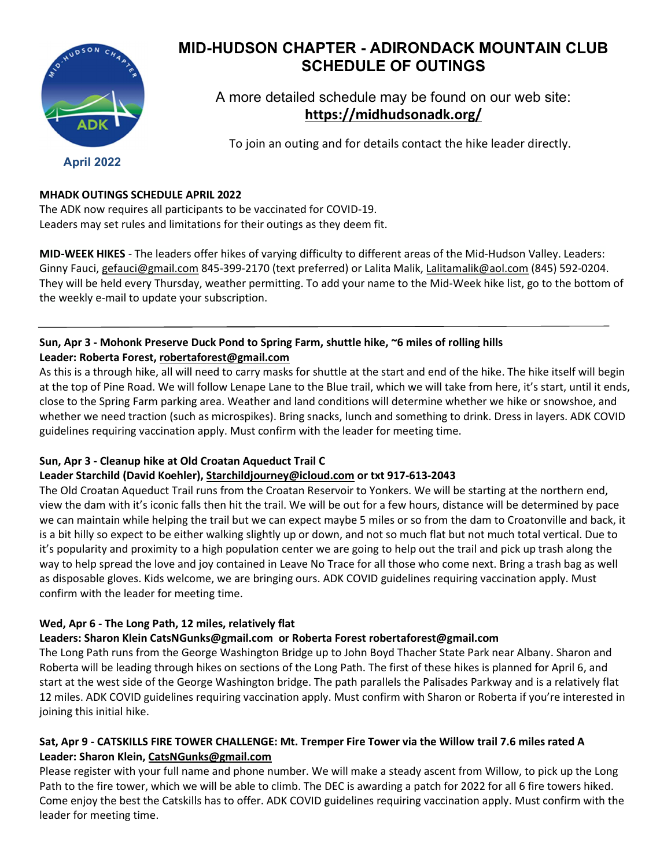

# MID-HUDSON CHAPTER - ADIRONDACK MOUNTAIN CLUB SCHEDULE OF OUTINGS

A more detailed schedule may be found on our web site: https://midhudsonadk.org/

To join an outing and for details contact the hike leader directly.

April 2022

## MHADK OUTINGS SCHEDULE APRIL 2022

The ADK now requires all participants to be vaccinated for COVID-19. Leaders may set rules and limitations for their outings as they deem fit.

MID-WEEK HIKES - The leaders offer hikes of varying difficulty to different areas of the Mid-Hudson Valley. Leaders: Ginny Fauci, gefauci@gmail.com 845-399-2170 (text preferred) or Lalita Malik, Lalitamalik@aol.com (845) 592-0204. They will be held every Thursday, weather permitting. To add your name to the Mid-Week hike list, go to the bottom of the weekly e-mail to update your subscription.

## Sun, Apr 3 - Mohonk Preserve Duck Pond to Spring Farm, shuttle hike, ~6 miles of rolling hills Leader: Roberta Forest, robertaforest@gmail.com

As this is a through hike, all will need to carry masks for shuttle at the start and end of the hike. The hike itself will begin at the top of Pine Road. We will follow Lenape Lane to the Blue trail, which we will take from here, it's start, until it ends, close to the Spring Farm parking area. Weather and land conditions will determine whether we hike or snowshoe, and whether we need traction (such as microspikes). Bring snacks, lunch and something to drink. Dress in layers. ADK COVID guidelines requiring vaccination apply. Must confirm with the leader for meeting time.

## Sun, Apr 3 - Cleanup hike at Old Croatan Aqueduct Trail C

## Leader Starchild (David Koehler), Starchildjourney@icloud.com or txt 917-613-2043

The Old Croatan Aqueduct Trail runs from the Croatan Reservoir to Yonkers. We will be starting at the northern end, view the dam with it's iconic falls then hit the trail. We will be out for a few hours, distance will be determined by pace we can maintain while helping the trail but we can expect maybe 5 miles or so from the dam to Croatonville and back, it is a bit hilly so expect to be either walking slightly up or down, and not so much flat but not much total vertical. Due to it's popularity and proximity to a high population center we are going to help out the trail and pick up trash along the way to help spread the love and joy contained in Leave No Trace for all those who come next. Bring a trash bag as well as disposable gloves. Kids welcome, we are bringing ours. ADK COVID guidelines requiring vaccination apply. Must confirm with the leader for meeting time.

## Wed, Apr 6 - The Long Path, 12 miles, relatively flat

## Leaders: Sharon Klein CatsNGunks@gmail.com or Roberta Forest robertaforest@gmail.com

The Long Path runs from the George Washington Bridge up to John Boyd Thacher State Park near Albany. Sharon and Roberta will be leading through hikes on sections of the Long Path. The first of these hikes is planned for April 6, and start at the west side of the George Washington bridge. The path parallels the Palisades Parkway and is a relatively flat 12 miles. ADK COVID guidelines requiring vaccination apply. Must confirm with Sharon or Roberta if you're interested in joining this initial hike.

## Sat, Apr 9 - CATSKILLS FIRE TOWER CHALLENGE: Mt. Tremper Fire Tower via the Willow trail 7.6 miles rated A Leader: Sharon Klein, CatsNGunks@gmail.com

Please register with your full name and phone number. We will make a steady ascent from Willow, to pick up the Long Path to the fire tower, which we will be able to climb. The DEC is awarding a patch for 2022 for all 6 fire towers hiked. Come enjoy the best the Catskills has to offer. ADK COVID guidelines requiring vaccination apply. Must confirm with the leader for meeting time.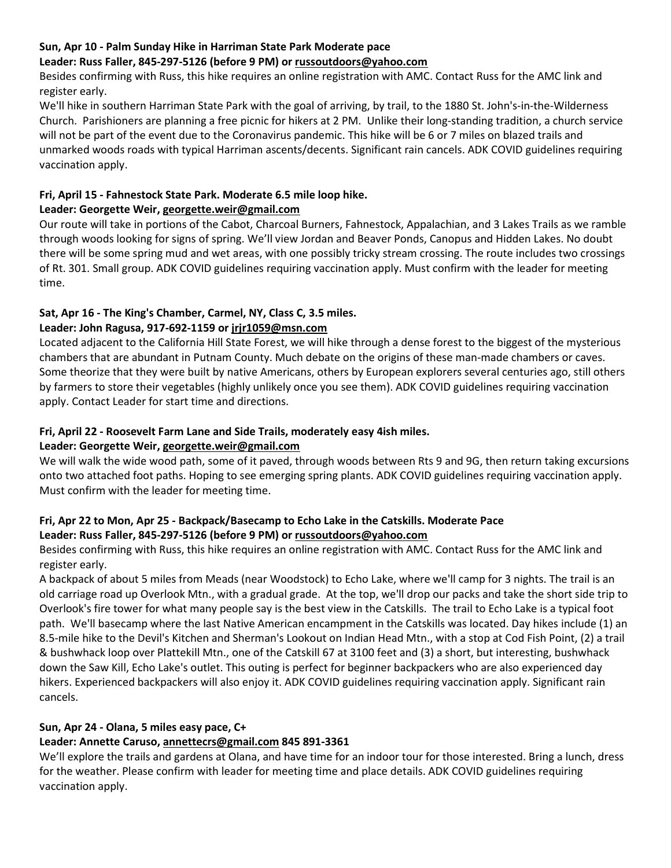#### Sun, Apr 10 - Palm Sunday Hike in Harriman State Park Moderate pace

#### Leader: Russ Faller, 845-297-5126 (before 9 PM) or russoutdoors@yahoo.com

Besides confirming with Russ, this hike requires an online registration with AMC. Contact Russ for the AMC link and register early.

We'll hike in southern Harriman State Park with the goal of arriving, by trail, to the 1880 St. John's-in-the-Wilderness Church. Parishioners are planning a free picnic for hikers at 2 PM. Unlike their long-standing tradition, a church service will not be part of the event due to the Coronavirus pandemic. This hike will be 6 or 7 miles on blazed trails and unmarked woods roads with typical Harriman ascents/decents. Significant rain cancels. ADK COVID guidelines requiring vaccination apply.

## Fri, April 15 - Fahnestock State Park. Moderate 6.5 mile loop hike.

#### Leader: Georgette Weir, georgette.weir@gmail.com

Our route will take in portions of the Cabot, Charcoal Burners, Fahnestock, Appalachian, and 3 Lakes Trails as we ramble through woods looking for signs of spring. We'll view Jordan and Beaver Ponds, Canopus and Hidden Lakes. No doubt there will be some spring mud and wet areas, with one possibly tricky stream crossing. The route includes two crossings of Rt. 301. Small group. ADK COVID guidelines requiring vaccination apply. Must confirm with the leader for meeting time.

## Sat, Apr 16 - The King's Chamber, Carmel, NY, Class C, 3.5 miles.

#### Leader: John Ragusa, 917-692-1159 or jrjr1059@msn.com

Located adjacent to the California Hill State Forest, we will hike through a dense forest to the biggest of the mysterious chambers that are abundant in Putnam County. Much debate on the origins of these man-made chambers or caves. Some theorize that they were built by native Americans, others by European explorers several centuries ago, still others by farmers to store their vegetables (highly unlikely once you see them). ADK COVID guidelines requiring vaccination apply. Contact Leader for start time and directions.

#### Fri, April 22 - Roosevelt Farm Lane and Side Trails, moderately easy 4ish miles.

## Leader: Georgette Weir, georgette.weir@gmail.com

We will walk the wide wood path, some of it paved, through woods between Rts 9 and 9G, then return taking excursions onto two attached foot paths. Hoping to see emerging spring plants. ADK COVID guidelines requiring vaccination apply. Must confirm with the leader for meeting time.

## Fri, Apr 22 to Mon, Apr 25 - Backpack/Basecamp to Echo Lake in the Catskills. Moderate Pace Leader: Russ Faller, 845-297-5126 (before 9 PM) or russoutdoors@yahoo.com

Besides confirming with Russ, this hike requires an online registration with AMC. Contact Russ for the AMC link and register early.

A backpack of about 5 miles from Meads (near Woodstock) to Echo Lake, where we'll camp for 3 nights. The trail is an old carriage road up Overlook Mtn., with a gradual grade. At the top, we'll drop our packs and take the short side trip to Overlook's fire tower for what many people say is the best view in the Catskills. The trail to Echo Lake is a typical foot path. We'll basecamp where the last Native American encampment in the Catskills was located. Day hikes include (1) an 8.5-mile hike to the Devil's Kitchen and Sherman's Lookout on Indian Head Mtn., with a stop at Cod Fish Point, (2) a trail & bushwhack loop over Plattekill Mtn., one of the Catskill 67 at 3100 feet and (3) a short, but interesting, bushwhack down the Saw Kill, Echo Lake's outlet. This outing is perfect for beginner backpackers who are also experienced day hikers. Experienced backpackers will also enjoy it. ADK COVID guidelines requiring vaccination apply. Significant rain cancels.

## Sun, Apr 24 - Olana, 5 miles easy pace, C+

## Leader: Annette Caruso, annettecrs@gmail.com 845 891-3361

We'll explore the trails and gardens at Olana, and have time for an indoor tour for those interested. Bring a lunch, dress for the weather. Please confirm with leader for meeting time and place details. ADK COVID guidelines requiring vaccination apply.